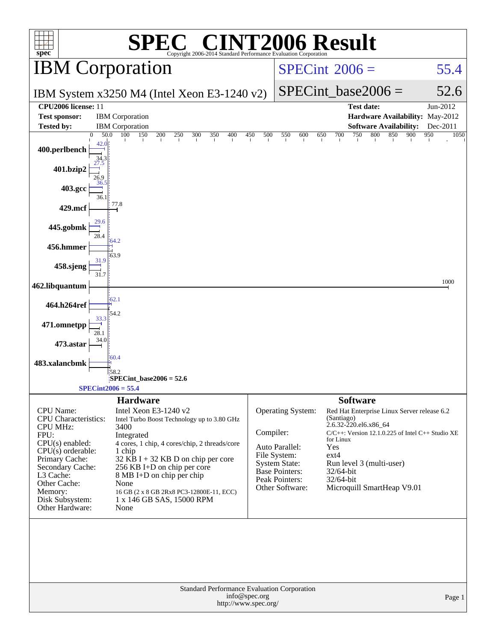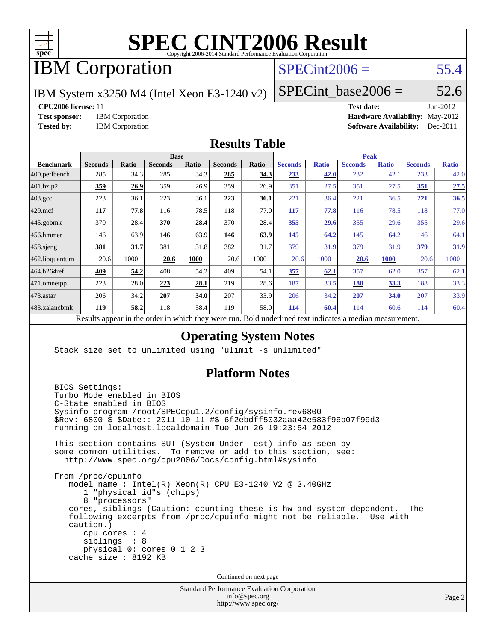

# IBM Corporation

## $SPECint2006 = 55.4$  $SPECint2006 = 55.4$

IBM System x3250 M4 (Intel Xeon E3-1240 v2)

 $SPECTnt\_base2006 = 52.6$ 

**[CPU2006 license:](http://www.spec.org/auto/cpu2006/Docs/result-fields.html#CPU2006license)** 11 **[Test date:](http://www.spec.org/auto/cpu2006/Docs/result-fields.html#Testdate)** Jun-2012

**[Test sponsor:](http://www.spec.org/auto/cpu2006/Docs/result-fields.html#Testsponsor)** IBM Corporation **[Hardware Availability:](http://www.spec.org/auto/cpu2006/Docs/result-fields.html#HardwareAvailability)** May-2012 **[Tested by:](http://www.spec.org/auto/cpu2006/Docs/result-fields.html#Testedby)** IBM Corporation **[Software Availability:](http://www.spec.org/auto/cpu2006/Docs/result-fields.html#SoftwareAvailability)** Dec-2011

#### **[Results Table](http://www.spec.org/auto/cpu2006/Docs/result-fields.html#ResultsTable)**

|                   | <b>Base</b>                                    |       |                                                                 |              |                |              | <b>Peak</b>                                |              |                |              |                |              |
|-------------------|------------------------------------------------|-------|-----------------------------------------------------------------|--------------|----------------|--------------|--------------------------------------------|--------------|----------------|--------------|----------------|--------------|
| <b>Benchmark</b>  | <b>Seconds</b>                                 | Ratio | <b>Seconds</b>                                                  | <b>Ratio</b> | <b>Seconds</b> | <b>Ratio</b> | <b>Seconds</b>                             | <b>Ratio</b> | <b>Seconds</b> | <b>Ratio</b> | <b>Seconds</b> | <b>Ratio</b> |
| $ 400$ .perlbench | 285                                            | 34.3  | 285                                                             | 34.3         | 285            | <u>34.3</u>  | 233                                        | 42.0         | 232            | 42.          | 233            | 42.0         |
| 401.bzip2         | 359                                            | 26.9  | 359                                                             | 26.9         | 359            | 26.9         | 351                                        | 27.5         | 351            | 27.5         | 351            | 27.5         |
| $403.\text{gcc}$  | 223                                            | 36.1  | 223                                                             | 36.1         | 223            | 36.1         | 221                                        | 36.4         | 221            | 36.5         | 221            | 36.5         |
| $429$ .mcf        | 117                                            | 77.8  | 116                                                             | 78.5         | 118            | 77.0         | 117                                        | 77.8         | 116            | 78.5         | 118            | 77.0         |
| $445$ .gobmk      | 370                                            | 28.4  | 370                                                             | 28.4         | 370            | 28.4         | 355                                        | 29.6         | 355            | 29.6         | 355            | 29.6         |
| $456.$ hmmer      | 146                                            | 63.9  | 146                                                             | 63.9         | 146            | 63.9         | 145                                        | 64.2         | 145            | 64.2         | 146            | 64.1         |
| $458$ .sjeng      | 381                                            | 31.7  | 381                                                             | 31.8         | 382            | 31.7         | 379                                        | 31.9         | 379            | 31.9         | 379            | 31.9         |
| 462.libquantum    | 20.6                                           | 1000  | 20.6                                                            | 1000         | 20.6           | 1000         | 20.6                                       | 1000         | 20.6           | <b>1000</b>  | 20.6           | 1000         |
| 464.h264ref       | 409                                            | 54.2  | 408                                                             | 54.2         | 409            | 54.1         | 357                                        | 62.1         | 357            | 62.0         | 357            | 62.1         |
| 471.omnetpp       | 223                                            | 28.0  | 223                                                             | 28.1         | 219            | 28.6         | 187                                        | 33.5         | 188            | <u>33.3</u>  | 188            | 33.3         |
| $ 473$ . astar    | 206                                            | 34.2  | 207                                                             | 34.0         | 207            | 33.9         | 206                                        | 34.2         | 207            | 34.0         | 207            | 33.9         |
| 483.xalancbmk     | 119                                            | 58.2  | 118                                                             | 58.4         | 119            | 58.0         | 114                                        | 60.4         | 114            | 60.6         | 114            | 60.4         |
|                   | $\mathbf{D}$ and $\mathbf{L}$ and $\mathbf{L}$ |       | وبريس ومرورين وبرواله والرائدانين وبالمروان والمراوية والارتبال |              |                |              | Deld and called to an indicate on a madian |              |                |              |                |              |

Results appear in the [order in which they were run.](http://www.spec.org/auto/cpu2006/Docs/result-fields.html#RunOrder) Bold underlined text [indicates a median measurement.](http://www.spec.org/auto/cpu2006/Docs/result-fields.html#Median)

#### **[Operating System Notes](http://www.spec.org/auto/cpu2006/Docs/result-fields.html#OperatingSystemNotes)**

Stack size set to unlimited using "ulimit -s unlimited"

#### **[Platform Notes](http://www.spec.org/auto/cpu2006/Docs/result-fields.html#PlatformNotes)**

 BIOS Settings: Turbo Mode enabled in BIOS C-State enabled in BIOS Sysinfo program /root/SPECcpu1.2/config/sysinfo.rev6800 \$Rev: 6800 \$ \$Date:: 2011-10-11 #\$ 6f2ebdff5032aaa42e583f96b07f99d3 running on localhost.localdomain Tue Jun 26 19:23:54 2012 This section contains SUT (System Under Test) info as seen by some common utilities. To remove or add to this section, see: <http://www.spec.org/cpu2006/Docs/config.html#sysinfo> From /proc/cpuinfo model name : Intel(R) Xeon(R) CPU E3-1240 V2 @ 3.40GHz 1 "physical id"s (chips) 8 "processors" cores, siblings (Caution: counting these is hw and system dependent. The following excerpts from /proc/cpuinfo might not be reliable. Use with caution.) cpu cores : 4 siblings : 8 physical 0: cores 0 1 2 3 cache size : 8192 KB Continued on next page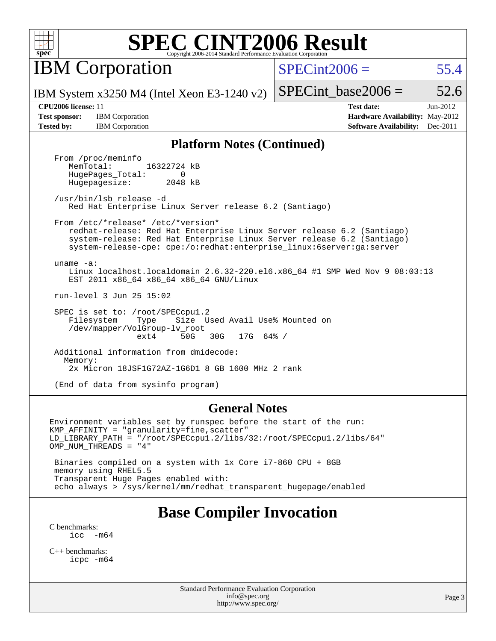

**IBM** Corporation

 $SPECint2006 = 55.4$  $SPECint2006 = 55.4$ 

IBM System x3250 M4 (Intel Xeon E3-1240 v2)

SPECint base2006 =  $52.6$ **[CPU2006 license:](http://www.spec.org/auto/cpu2006/Docs/result-fields.html#CPU2006license)** 11 **[Test date:](http://www.spec.org/auto/cpu2006/Docs/result-fields.html#Testdate)** Jun-2012

**[Test sponsor:](http://www.spec.org/auto/cpu2006/Docs/result-fields.html#Testsponsor)** IBM Corporation **[Hardware Availability:](http://www.spec.org/auto/cpu2006/Docs/result-fields.html#HardwareAvailability)** May-2012 **[Tested by:](http://www.spec.org/auto/cpu2006/Docs/result-fields.html#Testedby)** IBM Corporation **[Software Availability:](http://www.spec.org/auto/cpu2006/Docs/result-fields.html#SoftwareAvailability)** Dec-2011

#### **[Platform Notes \(Continued\)](http://www.spec.org/auto/cpu2006/Docs/result-fields.html#PlatformNotes)**

From /proc/meminfo<br>MemTotal: 16322724 kB HugePages\_Total: 0<br>Hugepagesize: 2048 kB Hugepagesize:

 /usr/bin/lsb\_release -d Red Hat Enterprise Linux Server release 6.2 (Santiago)

From /etc/\*release\* /etc/\*version\*

 redhat-release: Red Hat Enterprise Linux Server release 6.2 (Santiago) system-release: Red Hat Enterprise Linux Server release 6.2 (Santiago) system-release-cpe: cpe:/o:redhat:enterprise\_linux:6server:ga:server

 uname -a: Linux localhost.localdomain 2.6.32-220.el6.x86\_64 #1 SMP Wed Nov 9 08:03:13 EST 2011 x86\_64 x86\_64 x86\_64 GNU/Linux

run-level 3 Jun 25 15:02

 SPEC is set to: /root/SPECcpu1.2 Filesystem Type Size Used Avail Use% Mounted on /dev/mapper/VolGroup-lv\_root ext4 50G 30G 17G 64% /

 Additional information from dmidecode: Memory: 2x Micron 18JSF1G72AZ-1G6D1 8 GB 1600 MHz 2 rank

(End of data from sysinfo program)

#### **[General Notes](http://www.spec.org/auto/cpu2006/Docs/result-fields.html#GeneralNotes)**

Environment variables set by runspec before the start of the run: KMP\_AFFINITY = "granularity=fine,scatter" LD\_LIBRARY\_PATH = "/root/SPECcpu1.2/libs/32:/root/SPECcpu1.2/libs/64" OMP NUM THREADS = "4"

 Binaries compiled on a system with 1x Core i7-860 CPU + 8GB memory using RHEL5.5 Transparent Huge Pages enabled with: echo always > /sys/kernel/mm/redhat\_transparent\_hugepage/enabled

## **[Base Compiler Invocation](http://www.spec.org/auto/cpu2006/Docs/result-fields.html#BaseCompilerInvocation)**

[C benchmarks](http://www.spec.org/auto/cpu2006/Docs/result-fields.html#Cbenchmarks):  $\text{icc}$   $-\text{m64}$ 

[C++ benchmarks:](http://www.spec.org/auto/cpu2006/Docs/result-fields.html#CXXbenchmarks) [icpc -m64](http://www.spec.org/cpu2006/results/res2012q3/cpu2006-20120628-23223.flags.html#user_CXXbase_intel_icpc_64bit_fc66a5337ce925472a5c54ad6a0de310)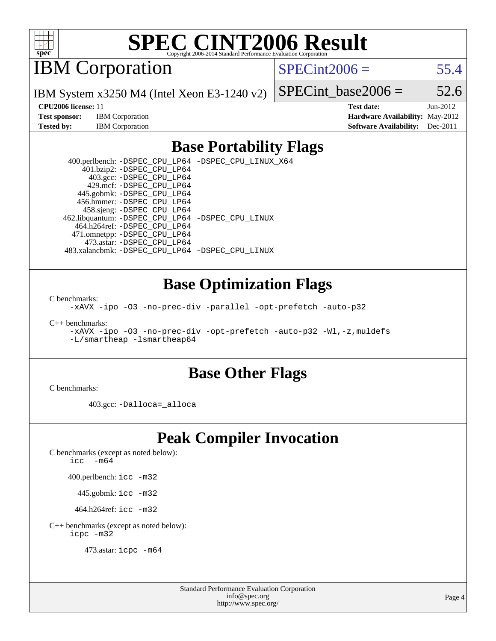

IBM Corporation

 $SPECint2006 = 55.4$  $SPECint2006 = 55.4$ 

IBM System x3250 M4 (Intel Xeon E3-1240 v2)

**[Test sponsor:](http://www.spec.org/auto/cpu2006/Docs/result-fields.html#Testsponsor)** IBM Corporation **[Hardware Availability:](http://www.spec.org/auto/cpu2006/Docs/result-fields.html#HardwareAvailability)** May-2012

SPECint base2006 =  $52.6$ **[CPU2006 license:](http://www.spec.org/auto/cpu2006/Docs/result-fields.html#CPU2006license)** 11 **[Test date:](http://www.spec.org/auto/cpu2006/Docs/result-fields.html#Testdate)** Jun-2012

**[Tested by:](http://www.spec.org/auto/cpu2006/Docs/result-fields.html#Testedby)** IBM Corporation **[Software Availability:](http://www.spec.org/auto/cpu2006/Docs/result-fields.html#SoftwareAvailability)** Dec-2011

### **[Base Portability Flags](http://www.spec.org/auto/cpu2006/Docs/result-fields.html#BasePortabilityFlags)**

 400.perlbench: [-DSPEC\\_CPU\\_LP64](http://www.spec.org/cpu2006/results/res2012q3/cpu2006-20120628-23223.flags.html#b400.perlbench_basePORTABILITY_DSPEC_CPU_LP64) [-DSPEC\\_CPU\\_LINUX\\_X64](http://www.spec.org/cpu2006/results/res2012q3/cpu2006-20120628-23223.flags.html#b400.perlbench_baseCPORTABILITY_DSPEC_CPU_LINUX_X64) 401.bzip2: [-DSPEC\\_CPU\\_LP64](http://www.spec.org/cpu2006/results/res2012q3/cpu2006-20120628-23223.flags.html#suite_basePORTABILITY401_bzip2_DSPEC_CPU_LP64) 403.gcc: [-DSPEC\\_CPU\\_LP64](http://www.spec.org/cpu2006/results/res2012q3/cpu2006-20120628-23223.flags.html#suite_basePORTABILITY403_gcc_DSPEC_CPU_LP64) 429.mcf: [-DSPEC\\_CPU\\_LP64](http://www.spec.org/cpu2006/results/res2012q3/cpu2006-20120628-23223.flags.html#suite_basePORTABILITY429_mcf_DSPEC_CPU_LP64) 445.gobmk: [-DSPEC\\_CPU\\_LP64](http://www.spec.org/cpu2006/results/res2012q3/cpu2006-20120628-23223.flags.html#suite_basePORTABILITY445_gobmk_DSPEC_CPU_LP64) 456.hmmer: [-DSPEC\\_CPU\\_LP64](http://www.spec.org/cpu2006/results/res2012q3/cpu2006-20120628-23223.flags.html#suite_basePORTABILITY456_hmmer_DSPEC_CPU_LP64) 458.sjeng: [-DSPEC\\_CPU\\_LP64](http://www.spec.org/cpu2006/results/res2012q3/cpu2006-20120628-23223.flags.html#suite_basePORTABILITY458_sjeng_DSPEC_CPU_LP64) 462.libquantum: [-DSPEC\\_CPU\\_LP64](http://www.spec.org/cpu2006/results/res2012q3/cpu2006-20120628-23223.flags.html#suite_basePORTABILITY462_libquantum_DSPEC_CPU_LP64) [-DSPEC\\_CPU\\_LINUX](http://www.spec.org/cpu2006/results/res2012q3/cpu2006-20120628-23223.flags.html#b462.libquantum_baseCPORTABILITY_DSPEC_CPU_LINUX) 464.h264ref: [-DSPEC\\_CPU\\_LP64](http://www.spec.org/cpu2006/results/res2012q3/cpu2006-20120628-23223.flags.html#suite_basePORTABILITY464_h264ref_DSPEC_CPU_LP64) 471.omnetpp: [-DSPEC\\_CPU\\_LP64](http://www.spec.org/cpu2006/results/res2012q3/cpu2006-20120628-23223.flags.html#suite_basePORTABILITY471_omnetpp_DSPEC_CPU_LP64) 473.astar: [-DSPEC\\_CPU\\_LP64](http://www.spec.org/cpu2006/results/res2012q3/cpu2006-20120628-23223.flags.html#suite_basePORTABILITY473_astar_DSPEC_CPU_LP64) 483.xalancbmk: [-DSPEC\\_CPU\\_LP64](http://www.spec.org/cpu2006/results/res2012q3/cpu2006-20120628-23223.flags.html#suite_basePORTABILITY483_xalancbmk_DSPEC_CPU_LP64) [-DSPEC\\_CPU\\_LINUX](http://www.spec.org/cpu2006/results/res2012q3/cpu2006-20120628-23223.flags.html#b483.xalancbmk_baseCXXPORTABILITY_DSPEC_CPU_LINUX)

### **[Base Optimization Flags](http://www.spec.org/auto/cpu2006/Docs/result-fields.html#BaseOptimizationFlags)**

[C benchmarks](http://www.spec.org/auto/cpu2006/Docs/result-fields.html#Cbenchmarks):

[-xAVX](http://www.spec.org/cpu2006/results/res2012q3/cpu2006-20120628-23223.flags.html#user_CCbase_f-xAVX) [-ipo](http://www.spec.org/cpu2006/results/res2012q3/cpu2006-20120628-23223.flags.html#user_CCbase_f-ipo) [-O3](http://www.spec.org/cpu2006/results/res2012q3/cpu2006-20120628-23223.flags.html#user_CCbase_f-O3) [-no-prec-div](http://www.spec.org/cpu2006/results/res2012q3/cpu2006-20120628-23223.flags.html#user_CCbase_f-no-prec-div) [-parallel](http://www.spec.org/cpu2006/results/res2012q3/cpu2006-20120628-23223.flags.html#user_CCbase_f-parallel) [-opt-prefetch](http://www.spec.org/cpu2006/results/res2012q3/cpu2006-20120628-23223.flags.html#user_CCbase_f-opt-prefetch) [-auto-p32](http://www.spec.org/cpu2006/results/res2012q3/cpu2006-20120628-23223.flags.html#user_CCbase_f-auto-p32)

[C++ benchmarks:](http://www.spec.org/auto/cpu2006/Docs/result-fields.html#CXXbenchmarks)

[-xAVX](http://www.spec.org/cpu2006/results/res2012q3/cpu2006-20120628-23223.flags.html#user_CXXbase_f-xAVX) [-ipo](http://www.spec.org/cpu2006/results/res2012q3/cpu2006-20120628-23223.flags.html#user_CXXbase_f-ipo) [-O3](http://www.spec.org/cpu2006/results/res2012q3/cpu2006-20120628-23223.flags.html#user_CXXbase_f-O3) [-no-prec-div](http://www.spec.org/cpu2006/results/res2012q3/cpu2006-20120628-23223.flags.html#user_CXXbase_f-no-prec-div) [-opt-prefetch](http://www.spec.org/cpu2006/results/res2012q3/cpu2006-20120628-23223.flags.html#user_CXXbase_f-opt-prefetch) [-auto-p32](http://www.spec.org/cpu2006/results/res2012q3/cpu2006-20120628-23223.flags.html#user_CXXbase_f-auto-p32) [-Wl,-z,muldefs](http://www.spec.org/cpu2006/results/res2012q3/cpu2006-20120628-23223.flags.html#user_CXXbase_link_force_multiple1_74079c344b956b9658436fd1b6dd3a8a) [-L/smartheap -lsmartheap64](http://www.spec.org/cpu2006/results/res2012q3/cpu2006-20120628-23223.flags.html#user_CXXbase_SmartHeap64_5e654037dadeae1fe403ab4b4466e60b)

### **[Base Other Flags](http://www.spec.org/auto/cpu2006/Docs/result-fields.html#BaseOtherFlags)**

[C benchmarks](http://www.spec.org/auto/cpu2006/Docs/result-fields.html#Cbenchmarks):

403.gcc: [-Dalloca=\\_alloca](http://www.spec.org/cpu2006/results/res2012q3/cpu2006-20120628-23223.flags.html#b403.gcc_baseEXTRA_CFLAGS_Dalloca_be3056838c12de2578596ca5467af7f3)

## **[Peak Compiler Invocation](http://www.spec.org/auto/cpu2006/Docs/result-fields.html#PeakCompilerInvocation)**

[C benchmarks \(except as noted below\)](http://www.spec.org/auto/cpu2006/Docs/result-fields.html#Cbenchmarksexceptasnotedbelow):

icc  $-m64$ 

400.perlbench: [icc -m32](http://www.spec.org/cpu2006/results/res2012q3/cpu2006-20120628-23223.flags.html#user_peakCCLD400_perlbench_intel_icc_a6a621f8d50482236b970c6ac5f55f93)

445.gobmk: [icc -m32](http://www.spec.org/cpu2006/results/res2012q3/cpu2006-20120628-23223.flags.html#user_peakCCLD445_gobmk_intel_icc_a6a621f8d50482236b970c6ac5f55f93)

464.h264ref: [icc -m32](http://www.spec.org/cpu2006/results/res2012q3/cpu2006-20120628-23223.flags.html#user_peakCCLD464_h264ref_intel_icc_a6a621f8d50482236b970c6ac5f55f93)

[C++ benchmarks \(except as noted below\):](http://www.spec.org/auto/cpu2006/Docs/result-fields.html#CXXbenchmarksexceptasnotedbelow) [icpc -m32](http://www.spec.org/cpu2006/results/res2012q3/cpu2006-20120628-23223.flags.html#user_CXXpeak_intel_icpc_4e5a5ef1a53fd332b3c49e69c3330699)

473.astar: [icpc -m64](http://www.spec.org/cpu2006/results/res2012q3/cpu2006-20120628-23223.flags.html#user_peakCXXLD473_astar_intel_icpc_64bit_fc66a5337ce925472a5c54ad6a0de310)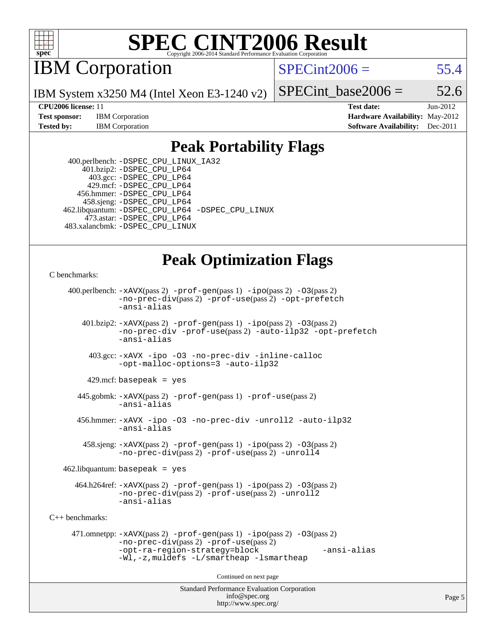

**IBM** Corporation

 $SPECint2006 = 55.4$  $SPECint2006 = 55.4$ 

IBM System x3250 M4 (Intel Xeon E3-1240 v2)

SPECint base2006 =  $52.6$ 

**[CPU2006 license:](http://www.spec.org/auto/cpu2006/Docs/result-fields.html#CPU2006license)** 11 **[Test date:](http://www.spec.org/auto/cpu2006/Docs/result-fields.html#Testdate)** Jun-2012 **[Test sponsor:](http://www.spec.org/auto/cpu2006/Docs/result-fields.html#Testsponsor)** IBM Corporation **[Hardware Availability:](http://www.spec.org/auto/cpu2006/Docs/result-fields.html#HardwareAvailability)** May-2012 **[Tested by:](http://www.spec.org/auto/cpu2006/Docs/result-fields.html#Testedby)** IBM Corporation **[Software Availability:](http://www.spec.org/auto/cpu2006/Docs/result-fields.html#SoftwareAvailability)** Dec-2011

### **[Peak Portability Flags](http://www.spec.org/auto/cpu2006/Docs/result-fields.html#PeakPortabilityFlags)**

 400.perlbench: [-DSPEC\\_CPU\\_LINUX\\_IA32](http://www.spec.org/cpu2006/results/res2012q3/cpu2006-20120628-23223.flags.html#b400.perlbench_peakCPORTABILITY_DSPEC_CPU_LINUX_IA32) 401.bzip2: [-DSPEC\\_CPU\\_LP64](http://www.spec.org/cpu2006/results/res2012q3/cpu2006-20120628-23223.flags.html#suite_peakPORTABILITY401_bzip2_DSPEC_CPU_LP64) 403.gcc: [-DSPEC\\_CPU\\_LP64](http://www.spec.org/cpu2006/results/res2012q3/cpu2006-20120628-23223.flags.html#suite_peakPORTABILITY403_gcc_DSPEC_CPU_LP64) 429.mcf: [-DSPEC\\_CPU\\_LP64](http://www.spec.org/cpu2006/results/res2012q3/cpu2006-20120628-23223.flags.html#suite_peakPORTABILITY429_mcf_DSPEC_CPU_LP64) 456.hmmer: [-DSPEC\\_CPU\\_LP64](http://www.spec.org/cpu2006/results/res2012q3/cpu2006-20120628-23223.flags.html#suite_peakPORTABILITY456_hmmer_DSPEC_CPU_LP64) 458.sjeng: [-DSPEC\\_CPU\\_LP64](http://www.spec.org/cpu2006/results/res2012q3/cpu2006-20120628-23223.flags.html#suite_peakPORTABILITY458_sjeng_DSPEC_CPU_LP64) 462.libquantum: [-DSPEC\\_CPU\\_LP64](http://www.spec.org/cpu2006/results/res2012q3/cpu2006-20120628-23223.flags.html#suite_peakPORTABILITY462_libquantum_DSPEC_CPU_LP64) [-DSPEC\\_CPU\\_LINUX](http://www.spec.org/cpu2006/results/res2012q3/cpu2006-20120628-23223.flags.html#b462.libquantum_peakCPORTABILITY_DSPEC_CPU_LINUX) 473.astar: [-DSPEC\\_CPU\\_LP64](http://www.spec.org/cpu2006/results/res2012q3/cpu2006-20120628-23223.flags.html#suite_peakPORTABILITY473_astar_DSPEC_CPU_LP64) 483.xalancbmk: [-DSPEC\\_CPU\\_LINUX](http://www.spec.org/cpu2006/results/res2012q3/cpu2006-20120628-23223.flags.html#b483.xalancbmk_peakCXXPORTABILITY_DSPEC_CPU_LINUX)

## **[Peak Optimization Flags](http://www.spec.org/auto/cpu2006/Docs/result-fields.html#PeakOptimizationFlags)**

```
C benchmarks:
```

```
Standard Performance Evaluation Corporation
                                          info@spec.org
     400.perlbench: -xAVX(pass 2) -prof-gen(pass 1) -ipo(pass 2) -O3(pass 2)
                -no-prec-div(pass 2) -prof-use(pass 2) -opt-prefetch
                -ansi-alias
        401.bzip2: -xAVX(pass 2) -prof-gen(pass 1) -ipo(pass 2) -O3(pass 2)
                -no-prec-div -prof-use(pass 2) -auto-ilp32 -opt-prefetch
                -ansi-alias
          403.gcc: -xAVX -ipo -O3 -no-prec-div -inline-calloc
                -opt-malloc-options=3 -auto-ilp32
         429.mcf: basepeak = yes
       445.gobmk: -xAVX(pass 2) -prof-gen(pass 1) -prof-use(pass 2)
                -ansi-alias
       456.hmmer: -xAVX -ipo -O3 -no-prec-div -unroll2 -auto-ilp32
                -ansi-alias
         458.sjeng: -xAVX(pass 2) -prof-gen(pass 1) -ipo(pass 2) -O3(pass 2)
                -no-prec-div(pass 2) -prof-use(pass 2) -unroll4
    462.libquantum: basepeak = yes
       464.h264ref: -xAVX(pass 2) -prof-gen(pass 1) -ipo(pass 2) -O3(pass 2)
                -no-prec-div(pass 2) -prof-use(pass 2) -unroll2
                -ansi-alias
C++ benchmarks: 
      471.omnetpp: -xAVX(pass 2) -prof-gen(pass 1) -ipo(pass 2) -O3(pass 2)
                -no-prec-div(pass 2) -prof-use(pass 2)
                -opt-ra-region-strategy=block -ansi-alias
                -Wl,-z,muldefs -L/smartheap -lsmartheap
                                        Continued on next page
```
<http://www.spec.org/>